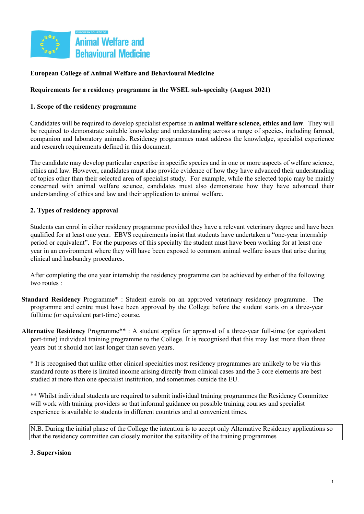

## **European College of Animal Welfare and Behavioural Medicine**

#### **Requirements for a residency programme in the WSEL sub-specialty (August 2021)**

#### **1. Scope of the residency programme**

Candidates will be required to develop specialist expertise in **animal welfare science, ethics and law**. They will be required to demonstrate suitable knowledge and understanding across a range of species, including farmed, companion and laboratory animals. Residency programmes must address the knowledge, specialist experience and research requirements defined in this document.

The candidate may develop particular expertise in specific species and in one or more aspects of welfare science, ethics and law. However, candidates must also provide evidence of how they have advanced their understanding of topics other than their selected area of specialist study. For example, while the selected topic may be mainly concerned with animal welfare science, candidates must also demonstrate how they have advanced their understanding of ethics and law and their application to animal welfare.

#### **2. Types of residency approval**

Students can enrol in either residency programme provided they have a relevant veterinary degree and have been qualified for at least one year. EBVS requirements insist that students have undertaken a "one-year internship period or equivalent". For the purposes of this specialty the student must have been working for at least one year in an environment where they will have been exposed to common animal welfare issues that arise during clinical and husbandry procedures.

After completing the one year internship the residency programme can be achieved by either of the following two routes :

- **Standard Residency** Programme\* : Student enrols on an approved veterinary residency programme. The programme and centre must have been approved by the College before the student starts on a three-year fulltime (or equivalent part-time) course.
- **Alternative Residency** Programme\*\* : A student applies for approval of a three-year full-time (or equivalent part-time) individual training programme to the College. It is recognised that this may last more than three years but it should not last longer than seven years.

\* It is recognised that unlike other clinical specialties most residency programmes are unlikely to be via this standard route as there is limited income arising directly from clinical cases and the 3 core elements are best studied at more than one specialist institution, and sometimes outside the EU.

\*\* Whilst individual students are required to submit individual training programmes the Residency Committee will work with training providers so that informal guidance on possible training courses and specialist experience is available to students in different countries and at convenient times.

N.B. During the initial phase of the College the intention is to accept only Alternative Residency applications so that the residency committee can closely monitor the suitability of the training programmes

#### 3. **Supervision**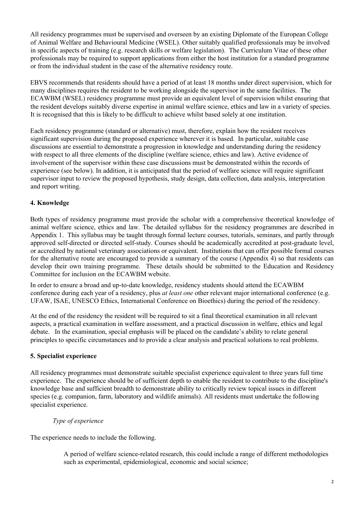All residency programmes must be supervised and overseen by an existing Diplomate of the European College of Animal Welfare and Behavioural Medicine (WSEL). Other suitably qualified professionals may be involved in specific aspects of training (e.g. research skills or welfare legislation). The Curriculum Vitae of these other professionals may be required to support applications from either the host institution for a standard programme or from the individual student in the case of the alternative residency route.

EBVS recommends that residents should have a period of at least 18 months under direct supervision, which for many disciplines requires the resident to be working alongside the supervisor in the same facilities. The ECAWBM (WSEL) residency programme must provide an equivalent level of supervision whilst ensuring that the resident develops suitably diverse expertise in animal welfare science, ethics and law in a variety of species. It is recognised that this is likely to be difficult to achieve whilst based solely at one institution.

Each residency programme (standard or alternative) must, therefore, explain how the resident receives significant supervision during the proposed experience wherever it is based. In particular, suitable case discussions are essential to demonstrate a progression in knowledge and understanding during the residency with respect to all three elements of the discipline (welfare science, ethics and law). Active evidence of involvement of the supervisor within these case discussions must be demonstrated within the records of experience (see below). In addition, it is anticipated that the period of welfare science will require significant supervisor input to review the proposed hypothesis, study design, data collection, data analysis, interpretation and report writing.

## **4. Knowledge**

Both types of residency programme must provide the scholar with a comprehensive theoretical knowledge of animal welfare science, ethics and law. The detailed syllabus for the residency programmes are described in Appendix 1. This syllabus may be taught through formal lecture courses, tutorials, seminars, and partly through approved self-directed or directed self-study. Courses should be academically accredited at post-graduate level, or accredited by national veterinary associations or equivalent. Institutions that can offer possible formal courses for the alternative route are encouraged to provide a summary of the course (Appendix 4) so that residents can develop their own training programme. These details should be submitted to the Education and Residency Committee for inclusion on the ECAWBM website.

In order to ensure a broad and up-to-date knowledge, residency students should attend the ECAWBM conference during each year of a residency, plus *at least one* other relevant major international conference (e.g. UFAW, ISAE, UNESCO Ethics, International Conference on Bioethics) during the period of the residency.

At the end of the residency the resident will be required to sit a final theoretical examination in all relevant aspects, a practical examination in welfare assessment, and a practical discussion in welfare, ethics and legal debate. In the examination, special emphasis will be placed on the candidate's ability to relate general principles to specific circumstances and to provide a clear analysis and practical solutions to real problems.

## **5. Specialist experience**

All residency programmes must demonstrate suitable specialist experience equivalent to three years full time experience. The experience should be of sufficient depth to enable the resident to contribute to the discipline's knowledge base and sufficient breadth to demonstrate ability to critically review topical issues in different species (e.g. companion, farm, laboratory and wildlife animals). All residents must undertake the following specialist experience.

## *Type of experience*

The experience needs to include the following.

A period of welfare science-related research, this could include a range of different methodologies such as experimental, epidemiological, economic and social science;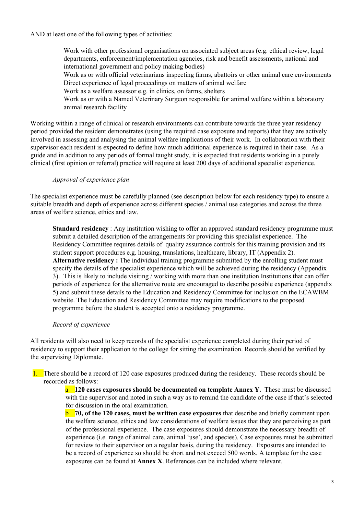AND at least one of the following types of activities:

Work with other professional organisations on associated subject areas (e.g. ethical review, legal departments, enforcement/implementation agencies, risk and benefit assessments, national and international government and policy making bodies)

Work as or with official veterinarians inspecting farms, abattoirs or other animal care environments Direct experience of legal proceedings on matters of animal welfare

Work as a welfare assessor e.g. in clinics, on farms, shelters

Work as or with a Named Veterinary Surgeon responsible for animal welfare within a laboratory animal research facility

Working within a range of clinical or research environments can contribute towards the three year residency period provided the resident demonstrates (using the required case exposure and reports) that they are actively involved in assessing and analysing the animal welfare implications of their work. In collaboration with their supervisor each resident is expected to define how much additional experience is required in their case. As a guide and in addition to any periods of formal taught study, it is expected that residents working in a purely clinical (first opinion or referral) practice will require at least 200 days of additional specialist experience.

## *Approval of experience plan*

The specialist experience must be carefully planned (see description below for each residency type) to ensure a suitable breadth and depth of experience across different species / animal use categories and across the three areas of welfare science, ethics and law.

**Standard residency** : Any institution wishing to offer an approved standard residency programme must submit a detailed description of the arrangements for providing this specialist experience. The Residency Committee requires details of quality assurance controls for this training provision and its student support procedures e.g. housing, translations, healthcare, library, IT (Appendix 2). **Alternative residency :** The individual training programme submitted by the enrolling student must specify the details of the specialist experience which will be achieved during the residency (Appendix 3). This is likely to include visiting / working with more than one institution Institutions that can offer periods of experience for the alternative route are encouraged to describe possible experience (appendix 5) and submit these details to the Education and Residency Committee for inclusion on the ECAWBM website. The Education and Residency Committee may require modifications to the proposed programme before the student is accepted onto a residency programme.

## *Record of experience*

All residents will also need to keep records of the specialist experience completed during their period of residency to support their application to the college for sitting the examination. Records should be verified by the supervising Diplomate.

1. There should be a record of 120 case exposures produced during the residency. These records should be recorded as follows:

> **a 120 cases exposures should be documented on template Annex Y.** These must be discussed with the supervisor and noted in such a way as to remind the candidate of the case if that's selected for discussion in the oral examination.

> b **70, of the 120 cases, must be written case exposures** that describe and briefly comment upon the welfare science, ethics and law considerations of welfare issues that they are perceiving as part of the professional experience. The case exposures should demonstrate the necessary breadth of experience (i.e. range of animal care, animal 'use', and species). Case exposures must be submitted for review to their supervisor on a regular basis, during the residency. Exposures are intended to be a record of experience so should be short and not exceed 500 words. A template for the case exposures can be found at **Annex X**. References can be included where relevant.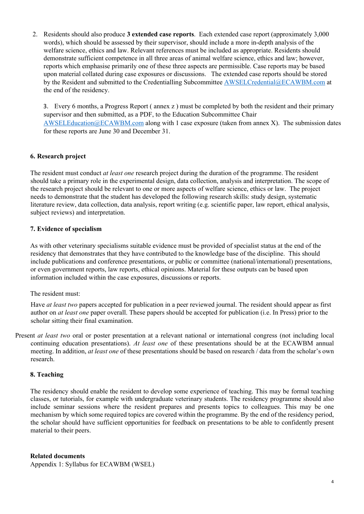2. Residents should also produce **3 extended case reports**. Each extended case report (approximately 3,000 words), which should be assessed by their supervisor, should include a more in-depth analysis of the welfare science, ethics and law. Relevant references must be included as appropriate. Residents should demonstrate sufficient competence in all three areas of animal welfare science, ethics and law; however, reports which emphasise primarily one of these three aspects are permissible. Case reports may be based upon material collated during case exposures or discussions. The extended case reports should be stored by the Resident and submitted to the Credentialling Subcommittee AWSELCredential@ECAWBM.com at the end of the residency.

3. Every 6 months, a Progress Report ( annex z ) must be completed by both the resident and their primary supervisor and then submitted, as a PDF, to the Education Subcommittee Chair AWSELEducation@ECAWBM.com along with 1 case exposure (taken from annex X). The submission dates for these reports are June 30 and December 31.

#### **6. Research project**

The resident must conduct *at least one* research project during the duration of the programme. The resident should take a primary role in the experimental design, data collection, analysis and interpretation. The scope of the research project should be relevant to one or more aspects of welfare science, ethics or law. The project needs to demonstrate that the student has developed the following research skills: study design, systematic literature review, data collection, data analysis, report writing (e.g. scientific paper, law report, ethical analysis, subject reviews) and interpretation.

#### **7. Evidence of specialism**

As with other veterinary specialisms suitable evidence must be provided of specialist status at the end of the residency that demonstrates that they have contributed to the knowledge base of the discipline. This should include publications and conference presentations, or public or committee (national/international) presentations, or even government reports, law reports, ethical opinions. Material for these outputs can be based upon information included within the case exposures, discussions or reports.

#### The resident must:

Have *at least two* papers accepted for publication in a peer reviewed journal. The resident should appear as first author on *at least one* paper overall. These papers should be accepted for publication (i.e. In Press) prior to the scholar sitting their final examination.

Present *at least two* oral or poster presentation at a relevant national or international congress (not including local continuing education presentations). *At least one* of these presentations should be at the ECAWBM annual meeting. In addition, *at least one* of these presentations should be based on research / data from the scholar's own research.

#### **8. Teaching**

The residency should enable the resident to develop some experience of teaching. This may be formal teaching classes, or tutorials, for example with undergraduate veterinary students. The residency programme should also include seminar sessions where the resident prepares and presents topics to colleagues. This may be one mechanism by which some required topics are covered within the programme. By the end of the residency period, the scholar should have sufficient opportunities for feedback on presentations to be able to confidently present material to their peers.

#### **Related documents**

Appendix 1: Syllabus for ECAWBM (WSEL)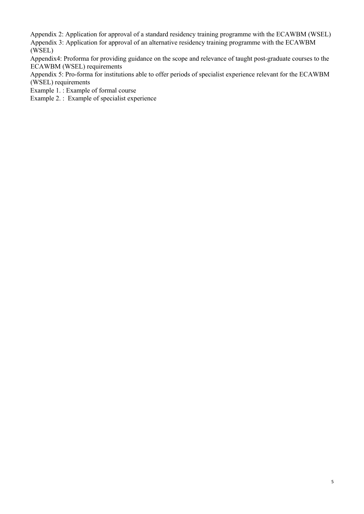Appendix 2: Application for approval of a standard residency training programme with the ECAWBM (WSEL) Appendix 3: Application for approval of an alternative residency training programme with the ECAWBM (WSEL)

Appendix4: Proforma for providing guidance on the scope and relevance of taught post-graduate courses to the ECAWBM (WSEL) requirements

Appendix 5: Pro-forma for institutions able to offer periods of specialist experience relevant for the ECAWBM (WSEL) requirements

Example 1. : Example of formal course

Example 2. : Example of specialist experience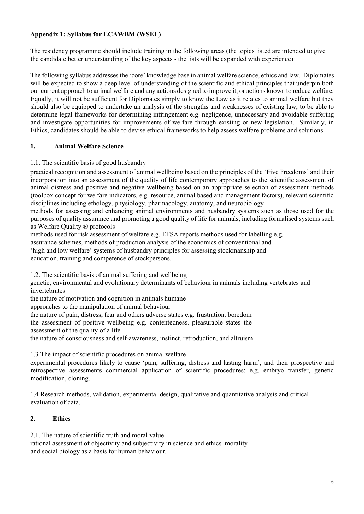# **Appendix 1: Syllabus for ECAWBM (WSEL)**

The residency programme should include training in the following areas (the topics listed are intended to give the candidate better understanding of the key aspects - the lists will be expanded with experience):

The following syllabus addresses the 'core' knowledge base in animal welfare science, ethics and law. Diplomates will be expected to show a deep level of understanding of the scientific and ethical principles that underpin both our current approach to animal welfare and any actions designed to improve it, or actions known to reduce welfare. Equally, it will not be sufficient for Diplomates simply to know the Law as it relates to animal welfare but they should also be equipped to undertake an analysis of the strengths and weaknesses of existing law, to be able to determine legal frameworks for determining infringement e.g. negligence, unnecessary and avoidable suffering and investigate opportunities for improvements of welfare through existing or new legislation. Similarly, in Ethics, candidates should be able to devise ethical frameworks to help assess welfare problems and solutions.

# **1. Animal Welfare Science**

# 1.1. The scientific basis of good husbandry

practical recognition and assessment of animal wellbeing based on the principles of the 'Five Freedoms' and their incorporation into an assessment of the quality of life contemporary approaches to the scientific assessment of animal distress and positive and negative wellbeing based on an appropriate selection of assessment methods (toolbox concept for welfare indicators, e.g. resource, animal based and management factors), relevant scientific disciplines including ethology, physiology, pharmacology, anatomy, and neurobiology

methods for assessing and enhancing animal environments and husbandry systems such as those used for the purposes of quality assurance and promoting a good quality of life for animals, including formalised systems such as Welfare Quality ® protocols

methods used for risk assessment of welfare e.g. EFSA reports methods used for labelling e.g. assurance schemes, methods of production analysis of the economics of conventional and

'high and low welfare' systems of husbandry principles for assessing stockmanship and education, training and competence of stockpersons.

1.2. The scientific basis of animal suffering and wellbeing

genetic, environmental and evolutionary determinants of behaviour in animals including vertebrates and invertebrates

the nature of motivation and cognition in animals humane

approaches to the manipulation of animal behaviour

the nature of pain, distress, fear and others adverse states e.g. frustration, boredom

the assessment of positive wellbeing e.g. contentedness, pleasurable states the

assessment of the quality of a life

the nature of consciousness and self-awareness, instinct, retroduction, and altruism

1.3 The impact of scientific procedures on animal welfare

experimental procedures likely to cause 'pain, suffering, distress and lasting harm', and their prospective and retrospective assessments commercial application of scientific procedures: e.g. embryo transfer, genetic modification, cloning.

1.4 Research methods, validation, experimental design, qualitative and quantitative analysis and critical evaluation of data.

# **2. Ethics**

2.1. The nature of scientific truth and moral value

rational assessment of objectivity and subjectivity in science and ethics morality and social biology as a basis for human behaviour.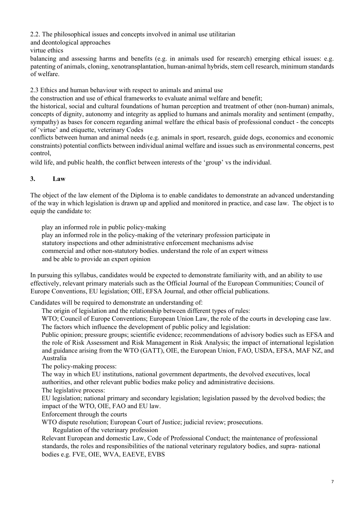2.2. The philosophical issues and concepts involved in animal use utilitarian

and deontological approaches

virtue ethics

balancing and assessing harms and benefits (e.g. in animals used for research) emerging ethical issues: e.g. patenting of animals, cloning, xenotransplantation, human-animal hybrids, stem cell research, minimum standards of welfare.

2.3 Ethics and human behaviour with respect to animals and animal use

the construction and use of ethical frameworks to evaluate animal welfare and benefit;

the historical, social and cultural foundations of human perception and treatment of other (non-human) animals, concepts of dignity, autonomy and integrity as applied to humans and animals morality and sentiment (empathy, sympathy) as bases for concern regarding animal welfare the ethical basis of professional conduct - the concepts of 'virtue' and etiquette, veterinary Codes

conflicts between human and animal needs (e.g. animals in sport, research, guide dogs, economics and economic constraints) potential conflicts between individual animal welfare and issues such as environmental concerns, pest control,

wild life, and public health, the conflict between interests of the 'group' vs the individual.

# **3. Law**

The object of the law element of the Diploma is to enable candidates to demonstrate an advanced understanding of the way in which legislation is drawn up and applied and monitored in practice, and case law. The object is to equip the candidate to:

play an informed role in public policy-making

play an informed role in the policy-making of the veterinary profession participate in statutory inspections and other administrative enforcement mechanisms advise commercial and other non-statutory bodies. understand the role of an expert witness and be able to provide an expert opinion

In pursuing this syllabus, candidates would be expected to demonstrate familiarity with, and an ability to use effectively, relevant primary materials such as the Official Journal of the European Communities; Council of Europe Conventions, EU legislation; OIE, EFSA Journal, and other official publications.

Candidates will be required to demonstrate an understanding of:

The origin of legislation and the relationship between different types of rules:

WTO; Council of Europe Conventions; European Union Law, the role of the courts in developing case law. The factors which influence the development of public policy and legislation:

Public opinion; pressure groups; scientific evidence; recommendations of advisory bodies such as EFSA and the role of Risk Assessment and Risk Management in Risk Analysis; the impact of international legislation and guidance arising from the WTO (GATT), OIE, the European Union, FAO, USDA, EFSA, MAF NZ, and Australia

The policy-making process:

The way in which EU institutions, national government departments, the devolved executives, local authorities, and other relevant public bodies make policy and administrative decisions.

The legislative process:

EU legislation; national primary and secondary legislation; legislation passed by the devolved bodies; the impact of the WTO, OIE, FAO and EU law.

Enforcement through the courts

WTO dispute resolution; European Court of Justice; judicial review; prosecutions.

Regulation of the veterinary profession

Relevant European and domestic Law, Code of Professional Conduct; the maintenance of professional standards, the roles and responsibilities of the national veterinary regulatory bodies, and supra- national bodies e.g. FVE, OIE, WVA, EAEVE, EVBS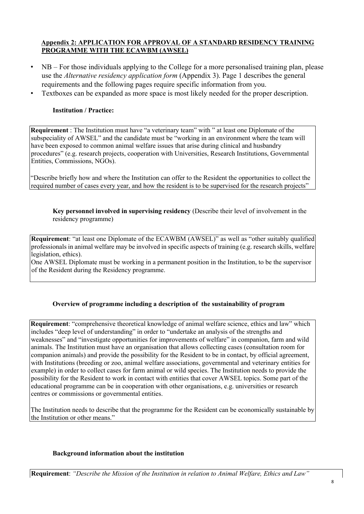## **Appendix 2: APPLICATION FOR APPROVAL OF A STANDARD RESIDENCY TRAINING PROGRAMME WITH THE ECAWBM (AWSEL)**

- NB For those individuals applying to the College for a more personalised training plan, please use the *Alternative residency application form* (Appendix 3). Page 1 describes the general requirements and the following pages require specific information from you.
- Textboxes can be expanded as more space is most likely needed for the proper description.

## **Institution / Practice:**

**Requirement** : The Institution must have "a veterinary team" with " at least one Diplomate of the subspeciality of AWSEL" and the candidate must be "working in an environment where the team will have been exposed to common animal welfare issues that arise during clinical and husbandry procedures" (e.g. research projects, cooperation with Universities, Research Institutions, Governmental Entities, Commissions, NGOs).

"Describe briefly how and where the Institution can offer to the Resident the opportunities to collect the required number of cases every year, and how the resident is to be supervised for the research projects"

**Key personnel involved in supervising residency** (Describe their level of involvement in the residency programme)

**Requirement**: "at least one Diplomate of the ECAWBM (AWSEL)" as well as "other suitably qualified professionals in animal welfare may be involved in specific aspects of training (e.g. research skills, welfare legislation, ethics).

One AWSEL Diplomate must be working in a permanent position in the Institution, to be the supervisor of the Resident during the Residency programme.

## **Overview of programme including a description of the sustainability of program**

**Requirement**: "comprehensive theoretical knowledge of animal welfare science, ethics and law" which includes "deep level of understanding" in order to "undertake an analysis of the strengths and weaknesses" and "investigate opportunities for improvements of welfare" in companion, farm and wild animals. The Institution must have an organisation that allows collecting cases (consultation room for companion animals) and provide the possibility for the Resident to be in contact, by official agreement, with Institutions (breeding or zoo, animal welfare associations, governmental and veterinary entities for example) in order to collect cases for farm animal or wild species. The Institution needs to provide the possibility for the Resident to work in contact with entities that cover AWSEL topics. Some part of the educational programme can be in cooperation with other organisations, e.g. universities or research centres or commissions or governmental entities.

The Institution needs to describe that the programme for the Resident can be economically sustainable by the Institution or other means."

#### **Background information about the institution**

**Requirement**: *"Describe the Mission of the Institution in relation to Animal Welfare, Ethics and Law"*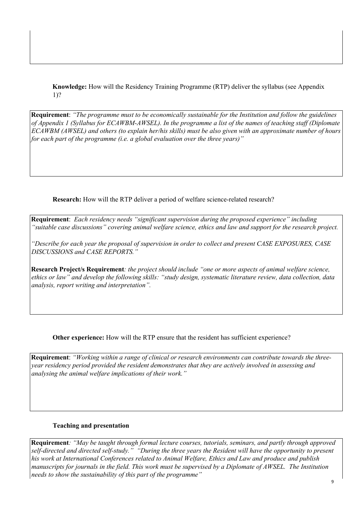**Knowledge:** How will the Residency Training Programme (RTP) deliver the syllabus (see Appendix 1)?

**Requirement**: *"The programme must to be economically sustainable for the Institution and follow the guidelines of Appendix 1 (Syllabus for ECAWBM-AWSEL). In the programme a list of the names of teaching staff (Diplomate ECAWBM (AWSEL) and others (to explain her/his skills) must be also given with an approximate number of hours for each part of the programme (i.e. a global evaluation over the three years)"*

**Research:** How will the RTP deliver a period of welfare science-related research?

**Requirement**: *Each residency needs "significant supervision during the proposed experience" including "suitable case discussions" covering animal welfare science, ethics and law and support for the research project.* 

*"Describe for each year the proposal of supervision in order to collect and present CASE EXPOSURES, CASE DISCUSSIONS and CASE REPORTS."* 

**Research Project/s Requirement***: the project should include "one or more aspects of animal welfare science, ethics or law" and develop the following skills: "study design, systematic literature review, data collection, data analysis, report writing and interpretation".* 

**Other experience:** How will the RTP ensure that the resident has sufficient experience?

**Requirement**: *"Working within a range of clinical or research environments can contribute towards the threeyear residency period provided the resident demonstrates that they are actively involved in assessing and analysing the animal welfare implications of their work."*

## **Teaching and presentation**

**Requirement***: "May be taught through formal lecture courses, tutorials, seminars, and partly through approved self-directed and directed self-study." "During the three years the Resident will have the opportunity to present his work at International Conferences related to Animal Welfare, Ethics and Law and produce and publish manuscripts for journals in the field. This work must be supervised by a Diplomate of AWSEL. The Institution needs to show the sustainability of this part of the programme"*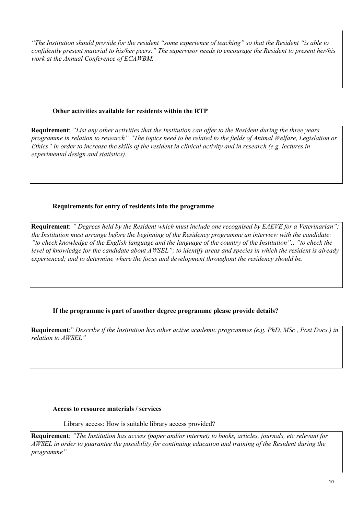*"The Institution should provide for the resident "some experience of teaching" so that the Resident "is able to confidently present material to his/her peers." The supervisor needs to encourage the Resident to present her/his work at the Annual Conference of ECAWBM.*

## **Other activities available for residents within the RTP**

**Requirement**: *"List any other activities that the Institution can offer to the Resident during the three years programme in relation to research" "The topics need to be related to the fields of Animal Welfare, Legislation or Ethics" in order to increase the skills of the resident in clinical activity and in research (e.g. lectures in experimental design and statistics).*

## **Requirements for entry of residents into the programme**

**Requirement**: *" Degrees held by the Resident which must include one recognised by EAEVE for a Veterinarian"; the Institution must arrange before the beginning of the Residency programme an interview with the candidate: "to check knowledge of the English language and the language of the country of the Institution";, "to check the level of knowledge for the candidate about AWSEL"; to identify areas and species in which the resident is already experienced; and to determine where the focus and development throughout the residency should be.*

## **If the programme is part of another degree programme please provide details?**

**Requirement**:" *Describe if the Institution has other active academic programmes (e.g. PhD, MSc , Post Docs.) in relation to AWSEL"*

#### **Access to resource materials / services**

Library access: How is suitable library access provided?

**Requirement**: *"The Institution has access (paper and/or internet) to books, articles, journals, etc relevant for AWSEL in order to guarantee the possibility for continuing education and training of the Resident during the programme"*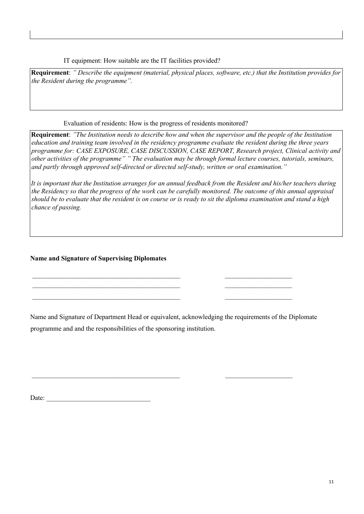IT equipment: How suitable are the IT facilities provided?

**Requirement**: *" Describe the equipment (material, physical places, software, etc.) that the Institution provides for the Resident during the programme".* 

Evaluation of residents: How is the progress of residents monitored?

**Requirement**: *"The Institution needs to describe how and when the supervisor and the people of the Institution education and training team involved in the residency programme evaluate the resident during the three years programme for: CASE EXPOSURE, CASE DISCUSSION, CASE REPORT, Research project, Clinical activity and other activities of the programme" " The evaluation may be through formal lecture courses, tutorials, seminars, and partly through approved self-directed or directed self-study, written or oral examination."* 

*It is important that the Institution arranges for an annual feedback from the Resident and his/her teachers during the Residency so that the progress of the work can be carefully monitored. The outcome of this annual appraisal should be to evaluate that the resident is on course or is ready to sit the diploma examination and stand a high chance of passing.* 

**Name and Signature of Supervising Diplomates** 

Name and Signature of Department Head or equivalent, acknowledging the requirements of the Diplomate programme and and the responsibilities of the sponsoring institution.

 $\mathcal{L}_\text{max} = \mathcal{L}_\text{max} = \mathcal{L}_\text{max} = \mathcal{L}_\text{max} = \mathcal{L}_\text{max} = \mathcal{L}_\text{max} = \mathcal{L}_\text{max} = \mathcal{L}_\text{max} = \mathcal{L}_\text{max} = \mathcal{L}_\text{max} = \mathcal{L}_\text{max} = \mathcal{L}_\text{max} = \mathcal{L}_\text{max} = \mathcal{L}_\text{max} = \mathcal{L}_\text{max} = \mathcal{L}_\text{max} = \mathcal{L}_\text{max} = \mathcal{L}_\text{max} = \mathcal{$  $\_$  , and the contribution of the contribution of  $\mathcal{L}_\mathcal{A}$  , and the contribution of  $\mathcal{L}_\mathcal{A}$  $\mathcal{L}_\text{max} = \mathcal{L}_\text{max} = \mathcal{L}_\text{max} = \mathcal{L}_\text{max} = \mathcal{L}_\text{max} = \mathcal{L}_\text{max} = \mathcal{L}_\text{max} = \mathcal{L}_\text{max} = \mathcal{L}_\text{max} = \mathcal{L}_\text{max} = \mathcal{L}_\text{max} = \mathcal{L}_\text{max} = \mathcal{L}_\text{max} = \mathcal{L}_\text{max} = \mathcal{L}_\text{max} = \mathcal{L}_\text{max} = \mathcal{L}_\text{max} = \mathcal{L}_\text{max} = \mathcal{$ 

 $\mathcal{L}_\text{max} = \mathcal{L}_\text{max} = \mathcal{L}_\text{max} = \mathcal{L}_\text{max} = \mathcal{L}_\text{max} = \mathcal{L}_\text{max} = \mathcal{L}_\text{max} = \mathcal{L}_\text{max} = \mathcal{L}_\text{max} = \mathcal{L}_\text{max} = \mathcal{L}_\text{max} = \mathcal{L}_\text{max} = \mathcal{L}_\text{max} = \mathcal{L}_\text{max} = \mathcal{L}_\text{max} = \mathcal{L}_\text{max} = \mathcal{L}_\text{max} = \mathcal{L}_\text{max} = \mathcal{$ 

Date: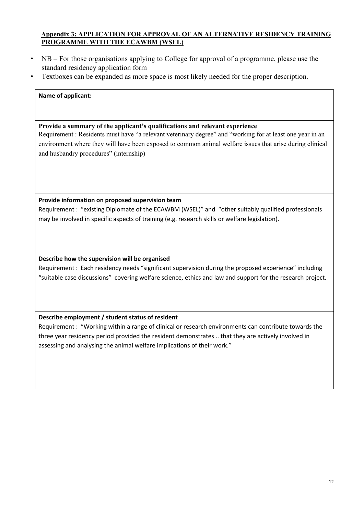## **Appendix 3: APPLICATION FOR APPROVAL OF AN ALTERNATIVE RESIDENCY TRAINING PROGRAMME WITH THE ECAWBM (WSEL)**

- NB For those organisations applying to College for approval of a programme, please use the standard residency application form
- Textboxes can be expanded as more space is most likely needed for the proper description.

#### **Name of applicant:**

#### **Provide a summary of the applicant's qualifications and relevant experience**

Requirement : Residents must have "a relevant veterinary degree" and "working for at least one year in an environment where they will have been exposed to common animal welfare issues that arise during clinical and husbandry procedures" (internship)

#### **Provide information on proposed supervision team**

Requirement : "existing Diplomate of the ECAWBM (WSEL)" and "other suitably qualified professionals may be involved in specific aspects of training (e.g. research skills or welfare legislation).

#### **Describe how the supervision will be organised**

Requirement : Each residency needs "significant supervision during the proposed experience" including "suitable case discussions" covering welfare science, ethics and law and support for the research project.

## **Describe employment / student status of resident**

Requirement : "Working within a range of clinical or research environments can contribute towards the three year residency period provided the resident demonstrates .. that they are actively involved in assessing and analysing the animal welfare implications of their work."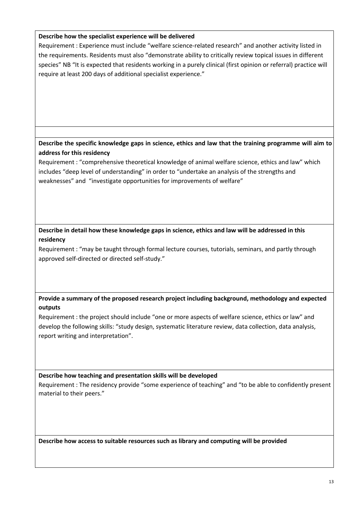## **Describe how the specialist experience will be delivered**

Requirement : Experience must include "welfare science-related research" and another activity listed in the requirements. Residents must also "demonstrate ability to critically review topical issues in different species" NB "It is expected that residents working in a purely clinical (first opinion or referral) practice will require at least 200 days of additional specialist experience."

## **Describe the specific knowledge gaps in science, ethics and law that the training programme will aim to address for this residency**

Requirement : "comprehensive theoretical knowledge of animal welfare science, ethics and law" which includes "deep level of understanding" in order to "undertake an analysis of the strengths and weaknesses" and "investigate opportunities for improvements of welfare"

**Describe in detail how these knowledge gaps in science, ethics and law will be addressed in this residency** 

Requirement : "may be taught through formal lecture courses, tutorials, seminars, and partly through approved self-directed or directed self-study."

**Provide a summary of the proposed research project including background, methodology and expected outputs** 

Requirement : the project should include "one or more aspects of welfare science, ethics or law" and develop the following skills: "study design, systematic literature review, data collection, data analysis, report writing and interpretation".

## **Describe how teaching and presentation skills will be developed**

Requirement : The residency provide "some experience of teaching" and "to be able to confidently present material to their peers."

**Describe how access to suitable resources such as library and computing will be provided**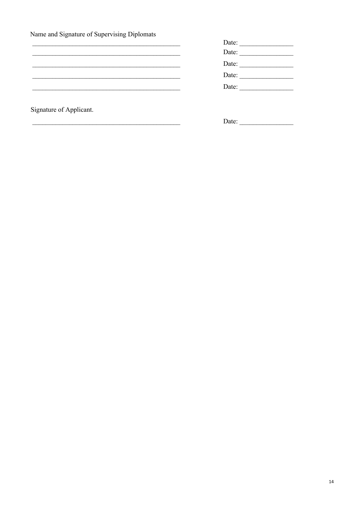Name and Signature of Supervising Diplomats

| Date: |
|-------|
| Date: |
| Date: |
| Date: |
| Date: |
|       |

Signature of Applicant.

| Date: |  |  |  |  |  |  |
|-------|--|--|--|--|--|--|
|       |  |  |  |  |  |  |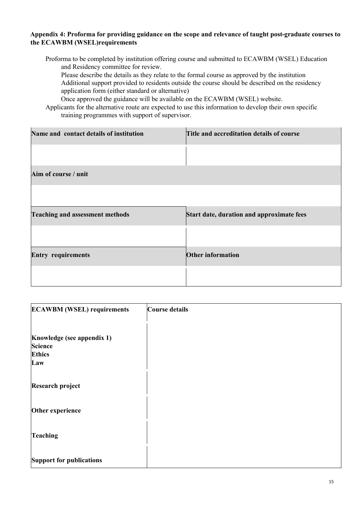#### **Appendix 4: Proforma for providing guidance on the scope and relevance of taught post-graduate courses to the ECAWBM (WSEL)requirements**

Proforma to be completed by institution offering course and submitted to ECAWBM (WSEL) Education and Residency committee for review.

Please describe the details as they relate to the formal course as approved by the institution Additional support provided to residents outside the course should be described on the residency application form (either standard or alternative)

Once approved the guidance will be available on the ECAWBM (WSEL) website.

Applicants for the alternative route are expected to use this information to develop their own specific training programmes with support of supervisor.

| Name and contact details of institution | Title and accreditation details of course |
|-----------------------------------------|-------------------------------------------|
|                                         |                                           |
| Aim of course / unit                    |                                           |
|                                         |                                           |
| <b>Teaching and assessment methods</b>  | Start date, duration and approximate fees |
|                                         |                                           |
| <b>Entry requirements</b>               | Other information                         |
|                                         |                                           |

| <b>ECAWBM</b> (WSEL) requirements                                    | <b>Course details</b> |
|----------------------------------------------------------------------|-----------------------|
| Knowledge (see appendix 1)<br><b>Science</b><br><b>Ethics</b><br>Law |                       |
| <b>Research project</b>                                              |                       |
| Other experience                                                     |                       |
| <b>Teaching</b>                                                      |                       |
| Support for publications                                             |                       |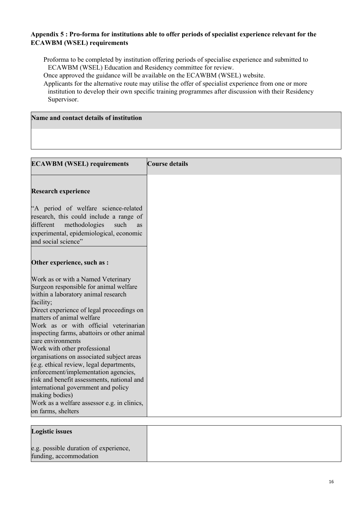## **Appendix 5 : Pro-forma for institutions able to offer periods of specialist experience relevant for the ECAWBM (WSEL) requirements**

Proforma to be completed by institution offering periods of specialise experience and submitted to ECAWBM (WSEL) Education and Residency committee for review.

Once approved the guidance will be available on the ECAWBM (WSEL) website.

Applicants for the alternative route may utilise the offer of specialist experience from one or more institution to develop their own specific training programmes after discussion with their Residency Supervisor.

# **Name and contact details of institution**

| <b>ECAWBM</b> (WSEL) requirements                                                                                                                                                                                                                                                                                                                                                                                                                                                                                                                                                                                                                                    | <b>Course details</b> |
|----------------------------------------------------------------------------------------------------------------------------------------------------------------------------------------------------------------------------------------------------------------------------------------------------------------------------------------------------------------------------------------------------------------------------------------------------------------------------------------------------------------------------------------------------------------------------------------------------------------------------------------------------------------------|-----------------------|
| <b>Research experience</b>                                                                                                                                                                                                                                                                                                                                                                                                                                                                                                                                                                                                                                           |                       |
| "A period of welfare science-related<br>research, this could include a range of<br>different<br>methodologies<br>such<br><b>as</b><br>experimental, epidemiological, economic<br>and social science"                                                                                                                                                                                                                                                                                                                                                                                                                                                                 |                       |
| Other experience, such as :                                                                                                                                                                                                                                                                                                                                                                                                                                                                                                                                                                                                                                          |                       |
| Work as or with a Named Veterinary<br>Surgeon responsible for animal welfare<br>within a laboratory animal research<br>facility;<br>Direct experience of legal proceedings on<br>matters of animal welfare<br>Work as or with official veterinarian<br>inspecting farms, abattoirs or other animal<br>care environments<br>Work with other professional<br>organisations on associated subject areas<br>(e.g. ethical review, legal departments,<br>enforcement/implementation agencies,<br>risk and benefit assessments, national and<br>international government and policy<br>making bodies)<br>Work as a welfare assessor e.g. in clinics,<br>on farms, shelters |                       |

| <b>Logistic issues</b>                                          |  |
|-----------------------------------------------------------------|--|
| e.g. possible duration of experience,<br>funding, accommodation |  |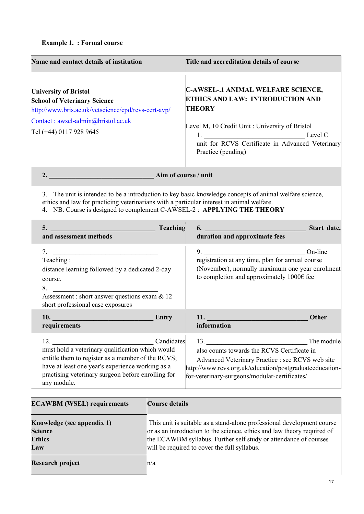# **Example 1. : Formal course**

| Name and contact details of institution                                                                                                                                                                                                                                                                                            | Title and accreditation details of course                                                                                                                                                                                                       |
|------------------------------------------------------------------------------------------------------------------------------------------------------------------------------------------------------------------------------------------------------------------------------------------------------------------------------------|-------------------------------------------------------------------------------------------------------------------------------------------------------------------------------------------------------------------------------------------------|
| <b>University of Bristol</b><br><b>School of Veterinary Science</b><br>http://www.bris.ac.uk/vetscience/cpd/rcvs-cert-avp/<br>Contact: awsel-admin@bristol.ac.uk<br>Tel (+44) 0117 928 9645                                                                                                                                        | <b>C-AWSEL-.1 ANIMAL WELFARE SCIENCE,</b><br><b>ETHICS AND LAW: INTRODUCTION AND</b><br><b>THEORY</b><br>Level M, 10 Credit Unit: University of Bristol<br>1. Level C<br>unit for RCVS Certificate in Advanced Veterinary<br>Practice (pending) |
| 2. Aim of course / unit                                                                                                                                                                                                                                                                                                            |                                                                                                                                                                                                                                                 |
| 3. The unit is intended to be a introduction to key basic knowledge concepts of animal welfare science,<br>ethics and law for practicing veterinarians with a particular interest in animal welfare.<br>4. NB. Course is designed to complement C-AWSEL-2 :_ APPLYING THE THEORY<br>5. Teaching Teaching<br>and assessment methods | $6.$ $\overline{\phantom{a}}$<br>Start date,<br>duration and approximate fees                                                                                                                                                                   |
| 7. $\overline{\phantom{a}}$<br>Teaching:<br>distance learning followed by a dedicated 2-day<br>course.<br>Assessment : short answer questions exam & 12<br>short professional case exposures                                                                                                                                       | 9.<br>On-line<br>registration at any time, plan for annual course<br>(November), normally maximum one year enrolment<br>to completion and approximately 1000€ fee                                                                               |
| <b>Entry</b><br>10.<br>requirements                                                                                                                                                                                                                                                                                                | 11.<br>Other<br>information                                                                                                                                                                                                                     |
| 12. Candida<br>must hold a veterinary qualification which would<br>Candidates<br>entitle them to register as a member of the RCVS;<br>have at least one year's experience working as a                                                                                                                                             | The module<br>also counts towards the RCVS Certificate in<br>Advanced Veterinary Practice : see RCVS web site<br>http://www.rcvs.org.uk/education/postgraduateeducation-                                                                        |

| <b>ECAWBM (WSEL) requirements</b>            | <b>Course details</b>                                                                                                                             |
|----------------------------------------------|---------------------------------------------------------------------------------------------------------------------------------------------------|
| Knowledge (see appendix 1)<br><b>Science</b> | This unit is suitable as a stand-alone professional development course<br>or as an introduction to the science, ethics and law theory required of |
| <b>Ethics</b>                                | the ECAWBM syllabus. Further self study or attendance of courses                                                                                  |
| Law                                          | will be required to cover the full syllabus.                                                                                                      |
| <b>Research project</b>                      | n/a                                                                                                                                               |

for-veterinary-surgeons/modular-certificates/

practising veterinary surgeon before enrolling for

any module.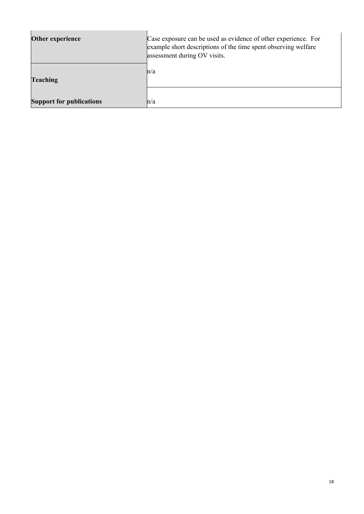| <b>Other experience</b><br><b>Teaching</b> | Case exposure can be used as evidence of other experience. For<br>example short descriptions of the time spent observing welfare<br>assessment during OV visits.<br>$\ln/a$ |
|--------------------------------------------|-----------------------------------------------------------------------------------------------------------------------------------------------------------------------------|
| <b>Support for publications</b>            | $\ln/a$                                                                                                                                                                     |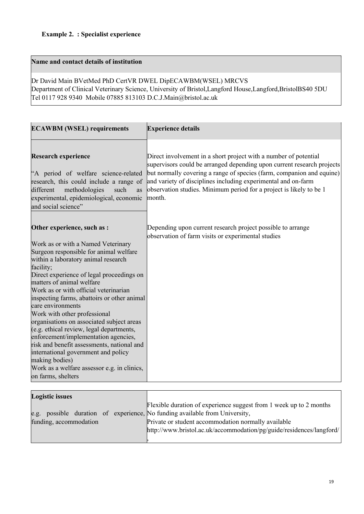# **Name and contact details of institution**

Dr David Main BVetMed PhD CertVR DWEL DipECAWBM(WSEL) MRCVS Department of Clinical Veterinary Science, University of Bristol,Langford House,Langford,BristolBS40 5DU Tel 0117 928 9340 Mobile 07885 813103 D.C.J.Main@bristol.ac.uk

| <b>ECAWBM (WSEL) requirements</b>                                                                                                                                                                                                                                                                                                                      | <b>Experience details</b>                                                                                                                                                                                                                                                                                                                                             |
|--------------------------------------------------------------------------------------------------------------------------------------------------------------------------------------------------------------------------------------------------------------------------------------------------------------------------------------------------------|-----------------------------------------------------------------------------------------------------------------------------------------------------------------------------------------------------------------------------------------------------------------------------------------------------------------------------------------------------------------------|
| <b>Research experience</b><br>"A period of welfare science-related<br>research, this could include a range of<br>methodologies<br>different<br>such<br>as<br>experimental, epidemiological, economic<br>and social science"                                                                                                                            | Direct involvement in a short project with a number of potential<br>supervisors could be arranged depending upon current research projects<br>but normally covering a range of species (farm, companion and equine)<br>and variety of disciplines including experimental and on-farm<br>observation studies. Minimum period for a project is likely to be 1<br>month. |
| Other experience, such as :<br>Work as or with a Named Veterinary<br>Surgeon responsible for animal welfare<br>within a laboratory animal research<br>facility;<br>Direct experience of legal proceedings on<br>matters of animal welfare<br>Work as or with official veterinarian<br>inspecting farms, abattoirs or other animal<br>care environments | Depending upon current research project possible to arrange<br>observation of farm visits or experimental studies                                                                                                                                                                                                                                                     |
| Work with other professional<br>organisations on associated subject areas<br>(e.g. ethical review, legal departments,<br>enforcement/implementation agencies,<br>risk and benefit assessments, national and<br>international government and policy<br>making bodies)<br>Work as a welfare assessor e.g. in clinics,<br>on farms, shelters              |                                                                                                                                                                                                                                                                                                                                                                       |

| <b>Logistic issues</b>                                                      |                                                                      |
|-----------------------------------------------------------------------------|----------------------------------------------------------------------|
|                                                                             | Flexible duration of experience suggest from 1 week up to 2 months   |
| e.g. possible duration of experience, No funding available from University, |                                                                      |
| funding, accommodation                                                      | Private or student accommodation normally available                  |
|                                                                             | http://www.bristol.ac.uk/accommodation/pg/guide/residences/langford/ |
|                                                                             |                                                                      |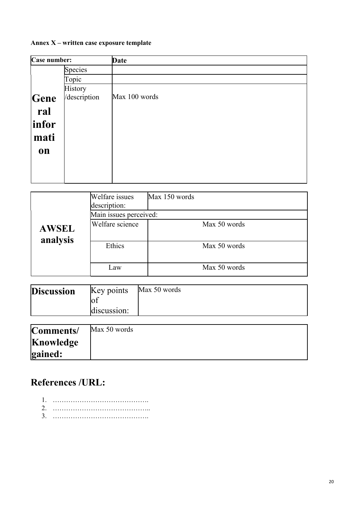# **Annex X – written case exposure template**

| Case number: |              | <b>Date</b>   |
|--------------|--------------|---------------|
|              | Species      |               |
|              | Topic        |               |
|              | History      |               |
| Gene         | /description | Max 100 words |
| ral          |              |               |
| infor        |              |               |
| mati         |              |               |
| on           |              |               |
|              |              |               |
|              |              |               |

| <b>AWSEL</b> | Welfare issues<br>description: | Max 150 words |  |  |  |  |  |  |  |
|--------------|--------------------------------|---------------|--|--|--|--|--|--|--|
|              | Main issues perceived:         |               |  |  |  |  |  |  |  |
|              | Welfare science                | Max 50 words  |  |  |  |  |  |  |  |
| analysis     | Ethics                         | Max 50 words  |  |  |  |  |  |  |  |
|              | Law                            | Max 50 words  |  |  |  |  |  |  |  |

| <b>Discussion</b> | Key points<br>discussion: | Max 50 words |
|-------------------|---------------------------|--------------|
|                   |                           |              |

| Comments/ | Max 50 words |
|-----------|--------------|
| Knowledge |              |
| gained:   |              |

# **References /URL:**

| ി  |  |  |  |  |  |  |  |
|----|--|--|--|--|--|--|--|
| 3. |  |  |  |  |  |  |  |